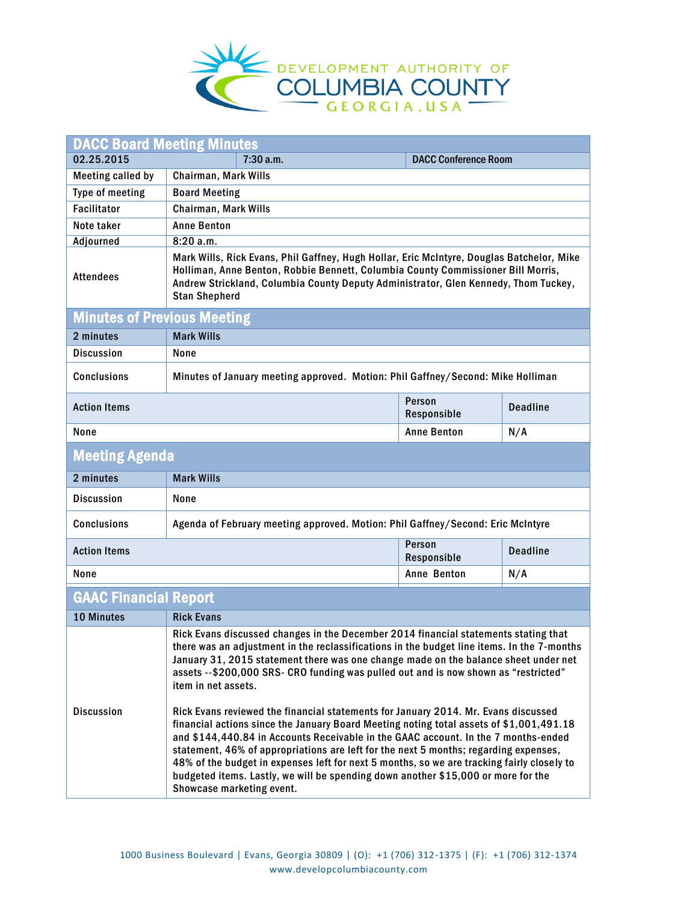

| <b>DACC Board Meeting Minutes</b>  |                                                                                                                                                                                                                                                                                                                                                                                                                                                                                                                                                                                                                                                                                                                                                                                                                                                                                                                                                                       |                             |                 |  |
|------------------------------------|-----------------------------------------------------------------------------------------------------------------------------------------------------------------------------------------------------------------------------------------------------------------------------------------------------------------------------------------------------------------------------------------------------------------------------------------------------------------------------------------------------------------------------------------------------------------------------------------------------------------------------------------------------------------------------------------------------------------------------------------------------------------------------------------------------------------------------------------------------------------------------------------------------------------------------------------------------------------------|-----------------------------|-----------------|--|
| 02.25.2015                         | 7:30a.m.                                                                                                                                                                                                                                                                                                                                                                                                                                                                                                                                                                                                                                                                                                                                                                                                                                                                                                                                                              | <b>DACC Conference Room</b> |                 |  |
| <b>Meeting called by</b>           | Chairman, Mark Wills                                                                                                                                                                                                                                                                                                                                                                                                                                                                                                                                                                                                                                                                                                                                                                                                                                                                                                                                                  |                             |                 |  |
| Type of meeting                    | <b>Board Meeting</b>                                                                                                                                                                                                                                                                                                                                                                                                                                                                                                                                                                                                                                                                                                                                                                                                                                                                                                                                                  |                             |                 |  |
| <b>Facilitator</b>                 | Chairman, Mark Wills                                                                                                                                                                                                                                                                                                                                                                                                                                                                                                                                                                                                                                                                                                                                                                                                                                                                                                                                                  |                             |                 |  |
| Note taker                         | <b>Anne Benton</b>                                                                                                                                                                                                                                                                                                                                                                                                                                                                                                                                                                                                                                                                                                                                                                                                                                                                                                                                                    |                             |                 |  |
| <b>Adjourned</b>                   | 8:20a.m.                                                                                                                                                                                                                                                                                                                                                                                                                                                                                                                                                                                                                                                                                                                                                                                                                                                                                                                                                              |                             |                 |  |
| <b>Attendees</b>                   | Mark Wills, Rick Evans, Phil Gaffney, Hugh Hollar, Eric McIntyre, Douglas Batchelor, Mike<br>Holliman, Anne Benton, Robbie Bennett, Columbia County Commissioner Bill Morris,<br>Andrew Strickland, Columbia County Deputy Administrator, Glen Kennedy, Thom Tuckey,<br><b>Stan Shepherd</b>                                                                                                                                                                                                                                                                                                                                                                                                                                                                                                                                                                                                                                                                          |                             |                 |  |
| <b>Minutes of Previous Meeting</b> |                                                                                                                                                                                                                                                                                                                                                                                                                                                                                                                                                                                                                                                                                                                                                                                                                                                                                                                                                                       |                             |                 |  |
| 2 minutes                          | <b>Mark Wills</b>                                                                                                                                                                                                                                                                                                                                                                                                                                                                                                                                                                                                                                                                                                                                                                                                                                                                                                                                                     |                             |                 |  |
| <b>Discussion</b>                  | None                                                                                                                                                                                                                                                                                                                                                                                                                                                                                                                                                                                                                                                                                                                                                                                                                                                                                                                                                                  |                             |                 |  |
| <b>Conclusions</b>                 | Minutes of January meeting approved. Motion: Phil Gaffney/Second: Mike Holliman                                                                                                                                                                                                                                                                                                                                                                                                                                                                                                                                                                                                                                                                                                                                                                                                                                                                                       |                             |                 |  |
| <b>Action Items</b>                |                                                                                                                                                                                                                                                                                                                                                                                                                                                                                                                                                                                                                                                                                                                                                                                                                                                                                                                                                                       | Person<br>Responsible       | <b>Deadline</b> |  |
| None                               |                                                                                                                                                                                                                                                                                                                                                                                                                                                                                                                                                                                                                                                                                                                                                                                                                                                                                                                                                                       | <b>Anne Benton</b>          | N/A             |  |
| <b>Meeting Agenda</b>              |                                                                                                                                                                                                                                                                                                                                                                                                                                                                                                                                                                                                                                                                                                                                                                                                                                                                                                                                                                       |                             |                 |  |
| 2 minutes                          | <b>Mark Wills</b>                                                                                                                                                                                                                                                                                                                                                                                                                                                                                                                                                                                                                                                                                                                                                                                                                                                                                                                                                     |                             |                 |  |
| <b>Discussion</b>                  | None                                                                                                                                                                                                                                                                                                                                                                                                                                                                                                                                                                                                                                                                                                                                                                                                                                                                                                                                                                  |                             |                 |  |
| <b>Conclusions</b>                 | Agenda of February meeting approved. Motion: Phil Gaffney/Second: Eric McIntyre                                                                                                                                                                                                                                                                                                                                                                                                                                                                                                                                                                                                                                                                                                                                                                                                                                                                                       |                             |                 |  |
| <b>Action Items</b>                |                                                                                                                                                                                                                                                                                                                                                                                                                                                                                                                                                                                                                                                                                                                                                                                                                                                                                                                                                                       | Person<br>Responsible       | <b>Deadline</b> |  |
| None                               |                                                                                                                                                                                                                                                                                                                                                                                                                                                                                                                                                                                                                                                                                                                                                                                                                                                                                                                                                                       | Anne Benton                 | N/A             |  |
| <b>GAAC Financial Report</b>       |                                                                                                                                                                                                                                                                                                                                                                                                                                                                                                                                                                                                                                                                                                                                                                                                                                                                                                                                                                       |                             |                 |  |
| 10 Minutes                         | <b>Rick Evans</b>                                                                                                                                                                                                                                                                                                                                                                                                                                                                                                                                                                                                                                                                                                                                                                                                                                                                                                                                                     |                             |                 |  |
| <b>Discussion</b>                  | Rick Evans discussed changes in the December 2014 financial statements stating that<br>there was an adjustment in the reclassifications in the budget line items. In the 7-months<br>January 31, 2015 statement there was one change made on the balance sheet under net<br>assets --\$200,000 SRS- CRO funding was pulled out and is now shown as "restricted"<br>item in net assets.<br>Rick Evans reviewed the financial statements for January 2014. Mr. Evans discussed<br>financial actions since the January Board Meeting noting total assets of \$1,001,491.18<br>and \$144,440.84 in Accounts Receivable in the GAAC account. In the 7 months-ended<br>statement, 46% of appropriations are left for the next 5 months; regarding expenses,<br>48% of the budget in expenses left for next 5 months, so we are tracking fairly closely to<br>budgeted items. Lastly, we will be spending down another \$15,000 or more for the<br>Showcase marketing event. |                             |                 |  |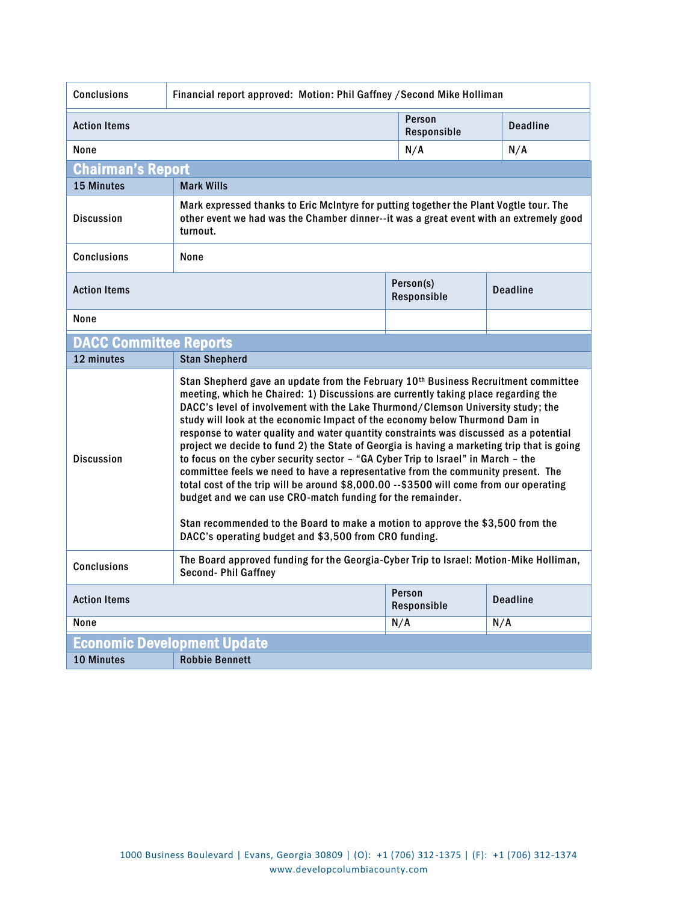| <b>Conclusions</b><br>Financial report approved: Motion: Phil Gaffney / Second Mike Holliman                                                                                                                                                                                                                                                                                                                                                                                                                                                                                                                                                                                                                                                                                                                                                                                                                                                                                                                                                    |                                                                                                                                                                                              |                          |                 |                 |
|-------------------------------------------------------------------------------------------------------------------------------------------------------------------------------------------------------------------------------------------------------------------------------------------------------------------------------------------------------------------------------------------------------------------------------------------------------------------------------------------------------------------------------------------------------------------------------------------------------------------------------------------------------------------------------------------------------------------------------------------------------------------------------------------------------------------------------------------------------------------------------------------------------------------------------------------------------------------------------------------------------------------------------------------------|----------------------------------------------------------------------------------------------------------------------------------------------------------------------------------------------|--------------------------|-----------------|-----------------|
| <b>Action Items</b>                                                                                                                                                                                                                                                                                                                                                                                                                                                                                                                                                                                                                                                                                                                                                                                                                                                                                                                                                                                                                             |                                                                                                                                                                                              | Person<br>Responsible    |                 | <b>Deadline</b> |
| None                                                                                                                                                                                                                                                                                                                                                                                                                                                                                                                                                                                                                                                                                                                                                                                                                                                                                                                                                                                                                                            |                                                                                                                                                                                              | N/A                      |                 | N/A             |
| Chairman's Report                                                                                                                                                                                                                                                                                                                                                                                                                                                                                                                                                                                                                                                                                                                                                                                                                                                                                                                                                                                                                               |                                                                                                                                                                                              |                          |                 |                 |
| <b>15 Minutes</b>                                                                                                                                                                                                                                                                                                                                                                                                                                                                                                                                                                                                                                                                                                                                                                                                                                                                                                                                                                                                                               | <b>Mark Wills</b>                                                                                                                                                                            |                          |                 |                 |
| <b>Discussion</b>                                                                                                                                                                                                                                                                                                                                                                                                                                                                                                                                                                                                                                                                                                                                                                                                                                                                                                                                                                                                                               | Mark expressed thanks to Eric McIntyre for putting together the Plant Vogtle tour. The<br>other event we had was the Chamber dinner--it was a great event with an extremely good<br>turnout. |                          |                 |                 |
| <b>Conclusions</b>                                                                                                                                                                                                                                                                                                                                                                                                                                                                                                                                                                                                                                                                                                                                                                                                                                                                                                                                                                                                                              | None                                                                                                                                                                                         |                          |                 |                 |
| <b>Action Items</b>                                                                                                                                                                                                                                                                                                                                                                                                                                                                                                                                                                                                                                                                                                                                                                                                                                                                                                                                                                                                                             |                                                                                                                                                                                              | Person(s)<br>Responsible |                 | <b>Deadline</b> |
| None                                                                                                                                                                                                                                                                                                                                                                                                                                                                                                                                                                                                                                                                                                                                                                                                                                                                                                                                                                                                                                            |                                                                                                                                                                                              |                          |                 |                 |
| <b>DACC Committee Reports</b>                                                                                                                                                                                                                                                                                                                                                                                                                                                                                                                                                                                                                                                                                                                                                                                                                                                                                                                                                                                                                   |                                                                                                                                                                                              |                          |                 |                 |
| 12 minutes                                                                                                                                                                                                                                                                                                                                                                                                                                                                                                                                                                                                                                                                                                                                                                                                                                                                                                                                                                                                                                      | <b>Stan Shepherd</b>                                                                                                                                                                         |                          |                 |                 |
| Stan Shepherd gave an update from the February 10 <sup>th</sup> Business Recruitment committee<br>meeting, which he Chaired: 1) Discussions are currently taking place regarding the<br>DACC's level of involvement with the Lake Thurmond/Clemson University study; the<br>study will look at the economic Impact of the economy below Thurmond Dam in<br>response to water quality and water quantity constraints was discussed as a potential<br>project we decide to fund 2) the State of Georgia is having a marketing trip that is going<br><b>Discussion</b><br>to focus on the cyber security sector - "GA Cyber Trip to Israel" in March - the<br>committee feels we need to have a representative from the community present. The<br>total cost of the trip will be around \$8,000.00 -- \$3500 will come from our operating<br>budget and we can use CRO-match funding for the remainder.<br>Stan recommended to the Board to make a motion to approve the \$3,500 from the<br>DACC's operating budget and \$3,500 from CRO funding. |                                                                                                                                                                                              |                          |                 |                 |
| <b>Conclusions</b>                                                                                                                                                                                                                                                                                                                                                                                                                                                                                                                                                                                                                                                                                                                                                                                                                                                                                                                                                                                                                              | The Board approved funding for the Georgia-Cyber Trip to Israel: Motion-Mike Holliman,<br><b>Second-Phil Gaffney</b>                                                                         |                          |                 |                 |
| Person<br><b>Action Items</b><br>Responsible                                                                                                                                                                                                                                                                                                                                                                                                                                                                                                                                                                                                                                                                                                                                                                                                                                                                                                                                                                                                    |                                                                                                                                                                                              |                          | <b>Deadline</b> |                 |
| None                                                                                                                                                                                                                                                                                                                                                                                                                                                                                                                                                                                                                                                                                                                                                                                                                                                                                                                                                                                                                                            |                                                                                                                                                                                              | N/A                      |                 | N/A             |
| <b>Economic Development Update</b>                                                                                                                                                                                                                                                                                                                                                                                                                                                                                                                                                                                                                                                                                                                                                                                                                                                                                                                                                                                                              |                                                                                                                                                                                              |                          |                 |                 |
| <b>10 Minutes</b>                                                                                                                                                                                                                                                                                                                                                                                                                                                                                                                                                                                                                                                                                                                                                                                                                                                                                                                                                                                                                               | <b>Robbie Bennett</b>                                                                                                                                                                        |                          |                 |                 |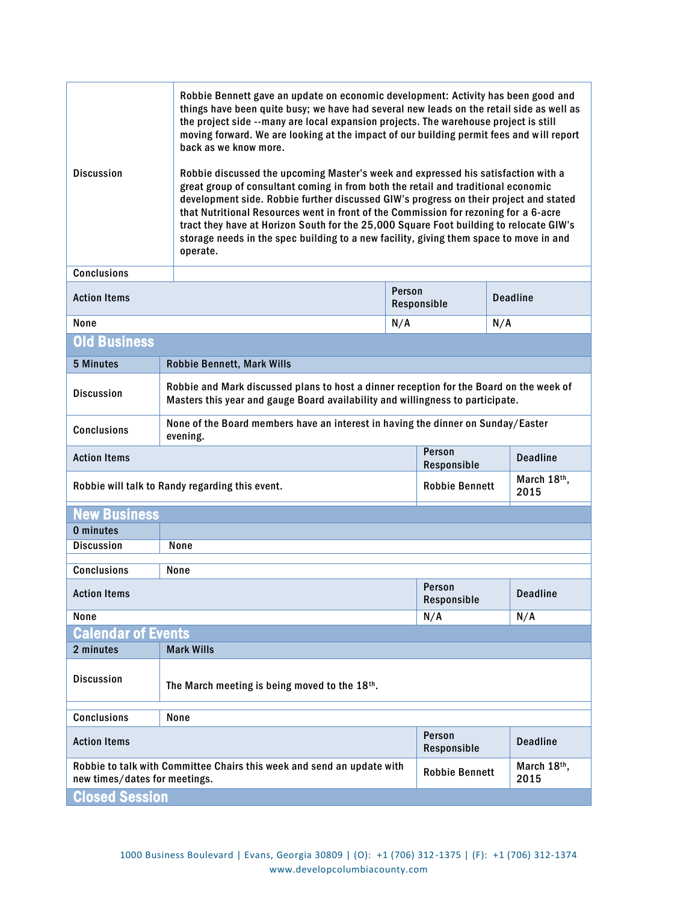| <b>Discussion</b>                                                                                       | Robbie Bennett gave an update on economic development: Activity has been good and<br>things have been quite busy; we have had several new leads on the retail side as well as<br>the project side --many are local expansion projects. The warehouse project is still<br>moving forward. We are looking at the impact of our building permit fees and will report<br>back as we know more.<br>Robbie discussed the upcoming Master's week and expressed his satisfaction with a<br>great group of consultant coming in from both the retail and traditional economic<br>development side. Robbie further discussed GIW's progress on their project and stated<br>that Nutritional Resources went in front of the Commission for rezoning for a 6-acre<br>tract they have at Horizon South for the 25,000 Square Foot building to relocate GIW's<br>storage needs in the spec building to a new facility, giving them space to move in and<br>operate. |                       |                     |  |
|---------------------------------------------------------------------------------------------------------|-------------------------------------------------------------------------------------------------------------------------------------------------------------------------------------------------------------------------------------------------------------------------------------------------------------------------------------------------------------------------------------------------------------------------------------------------------------------------------------------------------------------------------------------------------------------------------------------------------------------------------------------------------------------------------------------------------------------------------------------------------------------------------------------------------------------------------------------------------------------------------------------------------------------------------------------------------|-----------------------|---------------------|--|
| <b>Conclusions</b>                                                                                      |                                                                                                                                                                                                                                                                                                                                                                                                                                                                                                                                                                                                                                                                                                                                                                                                                                                                                                                                                       |                       |                     |  |
| <b>Action Items</b>                                                                                     | Person<br>Responsible                                                                                                                                                                                                                                                                                                                                                                                                                                                                                                                                                                                                                                                                                                                                                                                                                                                                                                                                 |                       | <b>Deadline</b>     |  |
| None                                                                                                    |                                                                                                                                                                                                                                                                                                                                                                                                                                                                                                                                                                                                                                                                                                                                                                                                                                                                                                                                                       | N/A                   | N/A                 |  |
| <b>Old Business</b>                                                                                     |                                                                                                                                                                                                                                                                                                                                                                                                                                                                                                                                                                                                                                                                                                                                                                                                                                                                                                                                                       |                       |                     |  |
| <b>5 Minutes</b>                                                                                        | <b>Robbie Bennett, Mark Wills</b>                                                                                                                                                                                                                                                                                                                                                                                                                                                                                                                                                                                                                                                                                                                                                                                                                                                                                                                     |                       |                     |  |
| <b>Discussion</b>                                                                                       | Robbie and Mark discussed plans to host a dinner reception for the Board on the week of<br>Masters this year and gauge Board availability and willingness to participate.                                                                                                                                                                                                                                                                                                                                                                                                                                                                                                                                                                                                                                                                                                                                                                             |                       |                     |  |
| <b>Conclusions</b>                                                                                      | None of the Board members have an interest in having the dinner on Sunday/Easter<br>evening.                                                                                                                                                                                                                                                                                                                                                                                                                                                                                                                                                                                                                                                                                                                                                                                                                                                          |                       |                     |  |
| <b>Action Items</b>                                                                                     |                                                                                                                                                                                                                                                                                                                                                                                                                                                                                                                                                                                                                                                                                                                                                                                                                                                                                                                                                       | Person<br>Responsible | <b>Deadline</b>     |  |
| Robbie will talk to Randy regarding this event.                                                         |                                                                                                                                                                                                                                                                                                                                                                                                                                                                                                                                                                                                                                                                                                                                                                                                                                                                                                                                                       | <b>Robbie Bennett</b> | March 18th,<br>2015 |  |
| <b>New Business</b>                                                                                     |                                                                                                                                                                                                                                                                                                                                                                                                                                                                                                                                                                                                                                                                                                                                                                                                                                                                                                                                                       |                       |                     |  |
| 0 minutes                                                                                               |                                                                                                                                                                                                                                                                                                                                                                                                                                                                                                                                                                                                                                                                                                                                                                                                                                                                                                                                                       |                       |                     |  |
| <b>Discussion</b>                                                                                       | None                                                                                                                                                                                                                                                                                                                                                                                                                                                                                                                                                                                                                                                                                                                                                                                                                                                                                                                                                  |                       |                     |  |
| <b>Conclusions</b>                                                                                      | None                                                                                                                                                                                                                                                                                                                                                                                                                                                                                                                                                                                                                                                                                                                                                                                                                                                                                                                                                  |                       |                     |  |
| <b>Action Items</b>                                                                                     |                                                                                                                                                                                                                                                                                                                                                                                                                                                                                                                                                                                                                                                                                                                                                                                                                                                                                                                                                       | Person<br>Responsible | <b>Deadline</b>     |  |
| None                                                                                                    |                                                                                                                                                                                                                                                                                                                                                                                                                                                                                                                                                                                                                                                                                                                                                                                                                                                                                                                                                       | N/A                   | N/A                 |  |
| <b>Calendar of Events</b>                                                                               |                                                                                                                                                                                                                                                                                                                                                                                                                                                                                                                                                                                                                                                                                                                                                                                                                                                                                                                                                       |                       |                     |  |
| 2 minutes                                                                                               | <b>Mark Wills</b>                                                                                                                                                                                                                                                                                                                                                                                                                                                                                                                                                                                                                                                                                                                                                                                                                                                                                                                                     |                       |                     |  |
| <b>Discussion</b>                                                                                       | The March meeting is being moved to the 18th.                                                                                                                                                                                                                                                                                                                                                                                                                                                                                                                                                                                                                                                                                                                                                                                                                                                                                                         |                       |                     |  |
| <b>Conclusions</b>                                                                                      | None                                                                                                                                                                                                                                                                                                                                                                                                                                                                                                                                                                                                                                                                                                                                                                                                                                                                                                                                                  |                       |                     |  |
| <b>Action Items</b>                                                                                     |                                                                                                                                                                                                                                                                                                                                                                                                                                                                                                                                                                                                                                                                                                                                                                                                                                                                                                                                                       | Person<br>Responsible | <b>Deadline</b>     |  |
| Robbie to talk with Committee Chairs this week and send an update with<br>new times/dates for meetings. |                                                                                                                                                                                                                                                                                                                                                                                                                                                                                                                                                                                                                                                                                                                                                                                                                                                                                                                                                       | <b>Robbie Bennett</b> | March 18th,<br>2015 |  |
| <b>Closed Session</b>                                                                                   |                                                                                                                                                                                                                                                                                                                                                                                                                                                                                                                                                                                                                                                                                                                                                                                                                                                                                                                                                       |                       |                     |  |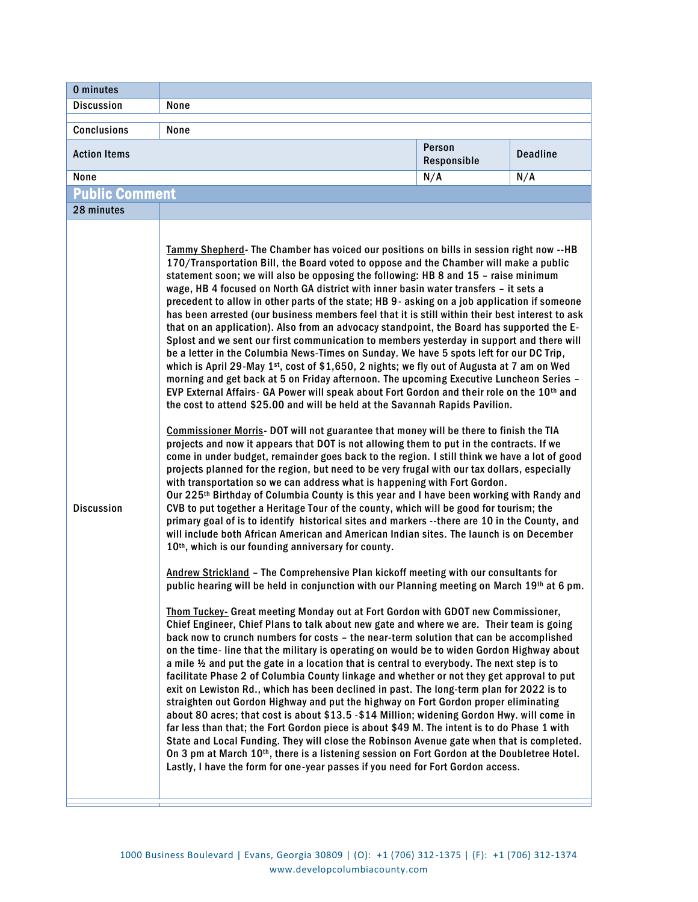| 0 minutes             |                                                                                                                                                                                                                                                                                                                                                                                                                                                                                                                                                                                                                                                                                                                                                                                                                                                                                                                                                                                                                                                                                                                                                                                                                                                                                                                                                                                                                                                                                                                                                                                                                                                                                                                                                                                                                                                                                                                                                                                                                                                                                                                                                                                                                                                                                                                                                                                                                                                                                                                                                                                                                                                                                                                                                                                                                                                                                                                                                                                                                                                                                                                                                                                                                                                                                                                                                                                                                                                                                                                                                                                   |                       |                 |
|-----------------------|-----------------------------------------------------------------------------------------------------------------------------------------------------------------------------------------------------------------------------------------------------------------------------------------------------------------------------------------------------------------------------------------------------------------------------------------------------------------------------------------------------------------------------------------------------------------------------------------------------------------------------------------------------------------------------------------------------------------------------------------------------------------------------------------------------------------------------------------------------------------------------------------------------------------------------------------------------------------------------------------------------------------------------------------------------------------------------------------------------------------------------------------------------------------------------------------------------------------------------------------------------------------------------------------------------------------------------------------------------------------------------------------------------------------------------------------------------------------------------------------------------------------------------------------------------------------------------------------------------------------------------------------------------------------------------------------------------------------------------------------------------------------------------------------------------------------------------------------------------------------------------------------------------------------------------------------------------------------------------------------------------------------------------------------------------------------------------------------------------------------------------------------------------------------------------------------------------------------------------------------------------------------------------------------------------------------------------------------------------------------------------------------------------------------------------------------------------------------------------------------------------------------------------------------------------------------------------------------------------------------------------------------------------------------------------------------------------------------------------------------------------------------------------------------------------------------------------------------------------------------------------------------------------------------------------------------------------------------------------------------------------------------------------------------------------------------------------------------------------------------------------------------------------------------------------------------------------------------------------------------------------------------------------------------------------------------------------------------------------------------------------------------------------------------------------------------------------------------------------------------------------------------------------------------------------------------------------------|-----------------------|-----------------|
| <b>Discussion</b>     | None                                                                                                                                                                                                                                                                                                                                                                                                                                                                                                                                                                                                                                                                                                                                                                                                                                                                                                                                                                                                                                                                                                                                                                                                                                                                                                                                                                                                                                                                                                                                                                                                                                                                                                                                                                                                                                                                                                                                                                                                                                                                                                                                                                                                                                                                                                                                                                                                                                                                                                                                                                                                                                                                                                                                                                                                                                                                                                                                                                                                                                                                                                                                                                                                                                                                                                                                                                                                                                                                                                                                                                              |                       |                 |
| <b>Conclusions</b>    | None                                                                                                                                                                                                                                                                                                                                                                                                                                                                                                                                                                                                                                                                                                                                                                                                                                                                                                                                                                                                                                                                                                                                                                                                                                                                                                                                                                                                                                                                                                                                                                                                                                                                                                                                                                                                                                                                                                                                                                                                                                                                                                                                                                                                                                                                                                                                                                                                                                                                                                                                                                                                                                                                                                                                                                                                                                                                                                                                                                                                                                                                                                                                                                                                                                                                                                                                                                                                                                                                                                                                                                              |                       |                 |
| <b>Action Items</b>   |                                                                                                                                                                                                                                                                                                                                                                                                                                                                                                                                                                                                                                                                                                                                                                                                                                                                                                                                                                                                                                                                                                                                                                                                                                                                                                                                                                                                                                                                                                                                                                                                                                                                                                                                                                                                                                                                                                                                                                                                                                                                                                                                                                                                                                                                                                                                                                                                                                                                                                                                                                                                                                                                                                                                                                                                                                                                                                                                                                                                                                                                                                                                                                                                                                                                                                                                                                                                                                                                                                                                                                                   | Person<br>Responsible | <b>Deadline</b> |
| None                  |                                                                                                                                                                                                                                                                                                                                                                                                                                                                                                                                                                                                                                                                                                                                                                                                                                                                                                                                                                                                                                                                                                                                                                                                                                                                                                                                                                                                                                                                                                                                                                                                                                                                                                                                                                                                                                                                                                                                                                                                                                                                                                                                                                                                                                                                                                                                                                                                                                                                                                                                                                                                                                                                                                                                                                                                                                                                                                                                                                                                                                                                                                                                                                                                                                                                                                                                                                                                                                                                                                                                                                                   | N/A                   | N/A             |
| <b>Public Comment</b> |                                                                                                                                                                                                                                                                                                                                                                                                                                                                                                                                                                                                                                                                                                                                                                                                                                                                                                                                                                                                                                                                                                                                                                                                                                                                                                                                                                                                                                                                                                                                                                                                                                                                                                                                                                                                                                                                                                                                                                                                                                                                                                                                                                                                                                                                                                                                                                                                                                                                                                                                                                                                                                                                                                                                                                                                                                                                                                                                                                                                                                                                                                                                                                                                                                                                                                                                                                                                                                                                                                                                                                                   |                       |                 |
| 28 minutes            |                                                                                                                                                                                                                                                                                                                                                                                                                                                                                                                                                                                                                                                                                                                                                                                                                                                                                                                                                                                                                                                                                                                                                                                                                                                                                                                                                                                                                                                                                                                                                                                                                                                                                                                                                                                                                                                                                                                                                                                                                                                                                                                                                                                                                                                                                                                                                                                                                                                                                                                                                                                                                                                                                                                                                                                                                                                                                                                                                                                                                                                                                                                                                                                                                                                                                                                                                                                                                                                                                                                                                                                   |                       |                 |
| <b>Discussion</b>     | Tammy Shepherd- The Chamber has voiced our positions on bills in session right now --HB<br>170/Transportation Bill, the Board voted to oppose and the Chamber will make a public<br>statement soon; we will also be opposing the following: HB 8 and 15 - raise minimum<br>wage, HB 4 focused on North GA district with inner basin water transfers - it sets a<br>precedent to allow in other parts of the state; HB 9- asking on a job application if someone<br>has been arrested (our business members feel that it is still within their best interest to ask<br>that on an application). Also from an advocacy standpoint, the Board has supported the E-<br>Splost and we sent our first communication to members yesterday in support and there will<br>be a letter in the Columbia News-Times on Sunday. We have 5 spots left for our DC Trip,<br>which is April 29-May 1st, cost of \$1,650, 2 nights; we fly out of Augusta at 7 am on Wed<br>morning and get back at 5 on Friday afternoon. The upcoming Executive Luncheon Series -<br>EVP External Affairs- GA Power will speak about Fort Gordon and their role on the 10th and<br>the cost to attend \$25.00 and will be held at the Savannah Rapids Pavilion.<br>Commissioner Morris- DOT will not guarantee that money will be there to finish the TIA<br>projects and now it appears that DOT is not allowing them to put in the contracts. If we<br>come in under budget, remainder goes back to the region. I still think we have a lot of good<br>projects planned for the region, but need to be very frugal with our tax dollars, especially<br>with transportation so we can address what is happening with Fort Gordon.<br>Our 225th Birthday of Columbia County is this year and I have been working with Randy and<br>CVB to put together a Heritage Tour of the county, which will be good for tourism; the<br>primary goal of is to identify historical sites and markers --there are 10 in the County, and<br>will include both African American and American Indian sites. The launch is on December<br>10 <sup>th</sup> , which is our founding anniversary for county.<br>Andrew Strickland - The Comprehensive Plan kickoff meeting with our consultants for<br>public hearing will be held in conjunction with our Planning meeting on March 19th at 6 pm.<br>Thom Tuckey- Great meeting Monday out at Fort Gordon with GDOT new Commissioner,<br>Chief Engineer, Chief Plans to talk about new gate and where we are. Their team is going<br>back now to crunch numbers for costs - the near-term solution that can be accomplished<br>on the time-line that the military is operating on would be to widen Gordon Highway about<br>a mile 1/2 and put the gate in a location that is central to everybody. The next step is to<br>facilitate Phase 2 of Columbia County linkage and whether or not they get approval to put<br>exit on Lewiston Rd., which has been declined in past. The long-term plan for 2022 is to<br>straighten out Gordon Highway and put the highway on Fort Gordon proper eliminating<br>about 80 acres; that cost is about \$13.5 - \$14 Million; widening Gordon Hwy. will come in<br>far less than that; the Fort Gordon piece is about \$49 M. The intent is to do Phase 1 with<br>State and Local Funding. They will close the Robinson Avenue gate when that is completed.<br>On 3 pm at March 10th, there is a listening session on Fort Gordon at the Doubletree Hotel.<br>Lastly, I have the form for one-year passes if you need for Fort Gordon access. |                       |                 |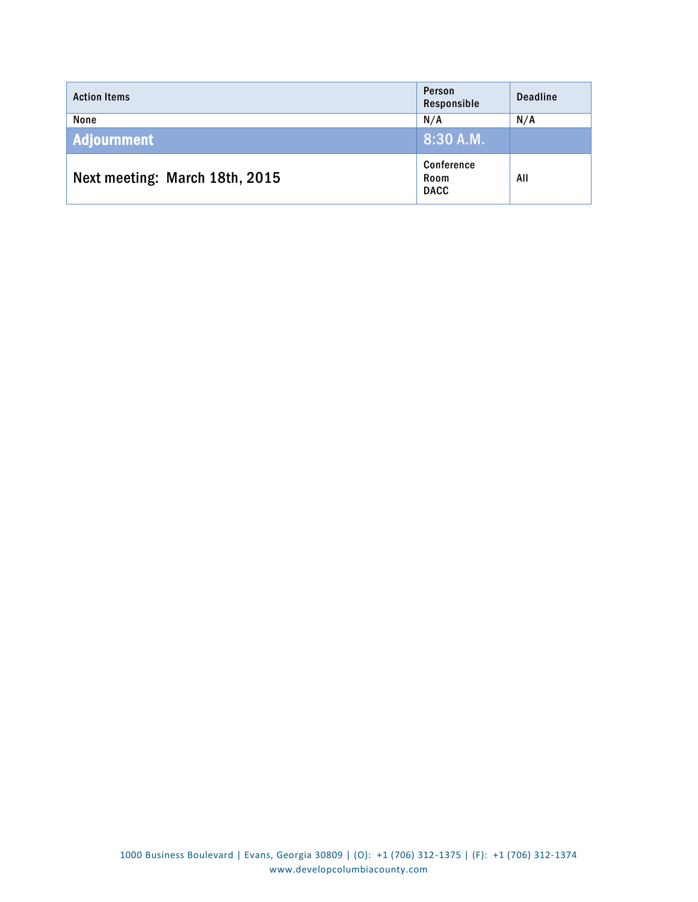| <b>Action Items</b>            | Person<br>Responsible             | <b>Deadline</b> |
|--------------------------------|-----------------------------------|-----------------|
| None                           | N/A                               | N/A             |
| <b>Adjournment</b>             | 8:30 A.M.                         |                 |
| Next meeting: March 18th, 2015 | Conference<br>Room<br><b>DACC</b> | All             |